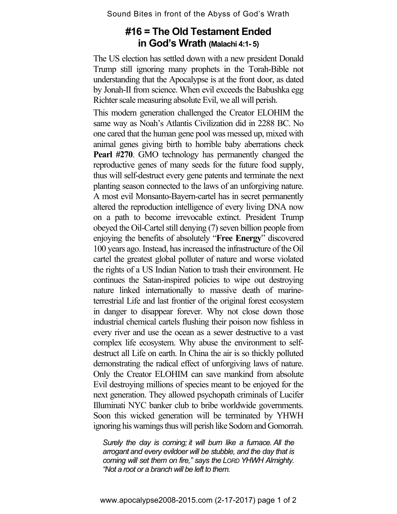Sound Bites in front of the Abyss of God's Wrath

## **#16 = The Old Testament Ended in God's Wrath (Malachi 4:1- 5)**

The US election has settled down with a new president Donald Trump still ignoring many prophets in the Torah-Bible not understanding that the Apocalypse is at the front door, as dated by Jonah-II from science. When evil exceeds the Babushka egg Richter scale measuring absolute Evil, we all will perish.

This modern generation challenged the Creator ELOHIM the same way as Noah's Atlantis Civilization did in 2288 BC. No one cared that the human gene pool was messed up, mixed with animal genes giving birth to horrible baby aberrations check **Pearl #270**. GMO technology has permanently changed the reproductive genes of many seeds for the future food supply, thus will self-destruct every gene patents and terminate the next planting season connected to the laws of an unforgiving nature. A most evil Monsanto-Bayern-cartel has in secret permanently altered the reproduction intelligence of every living DNA now on a path to become irrevocable extinct. President Trump obeyed the Oil-Cartel still denying (7) seven billion people from enjoying the benefits of absolutely "**Free Energy**" discovered 100 years ago. Instead, has increased the infrastructure of the Oil cartel the greatest global polluter of nature and worse violated the rights of a US Indian Nation to trash their environment. He continues the Satan-inspired policies to wipe out destroying nature linked internationally to massive death of marineterrestrial Life and last frontier of the original forest ecosystem in danger to disappear forever. Why not close down those industrial chemical cartels flushing their poison now fishless in every river and use the ocean as a sewer destructive to a vast complex life ecosystem. Why abuse the environment to selfdestruct all Life on earth. In China the air is so thickly polluted demonstrating the radical effect of unforgiving laws of nature. Only the Creator ELOHIM can save mankind from absolute Evil destroying millions of species meant to be enjoyed for the next generation. They allowed psychopath criminals of Lucifer Illuminati NYC banker club to bribe worldwide governments. Soon this wicked generation will be terminated by YHWH ignoring his warnings thus will perish like Sodom and Gomorrah.

*Surely the day is coming; it will burn like a furnace. All the arrogant and every evildoer will be stubble, and the day that is coming will set them on fire," says the LORD YHWH Almighty. "Not a root or a branch will be left to them.*